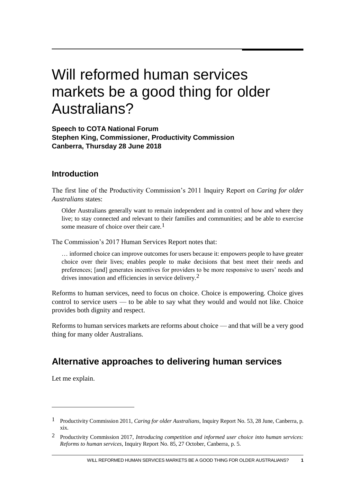# Will reformed human services markets be a good thing for older Australians?

**Speech to COTA National Forum Stephen King, Commissioner, Productivity Commission Canberra, Thursday 28 June 2018**

#### **Introduction**

The first line of the Productivity Commission's 2011 Inquiry Report on *Caring for older Australians* states:

Older Australians generally want to remain independent and in control of how and where they live; to stay connected and relevant to their families and communities; and be able to exercise some measure of choice over their care.<sup>1</sup>

The Commission's 2017 Human Services Report notes that:

… informed choice can improve outcomes for users because it: empowers people to have greater choice over their lives; enables people to make decisions that best meet their needs and preferences; [and] generates incentives for providers to be more responsive to users' needs and drives innovation and efficiencies in service delivery.<sup>2</sup>

Reforms to human services, need to focus on choice. Choice is empowering. Choice gives control to service users — to be able to say what they would and would not like. Choice provides both dignity and respect.

Reforms to human services markets are reforms about choice — and that will be a very good thing for many older Australians.

### **Alternative approaches to delivering human services**

Let me explain.

<sup>1</sup> Productivity Commission 2011, *Caring for older Australians*, Inquiry Report No. 53, 28 June, Canberra, p. xix.

<sup>2</sup> Productivity Commission 2017, *Introducing competition and informed user choice into human services: Reforms to human services*, Inquiry Report No. 85, 27 October, Canberra, p. 5.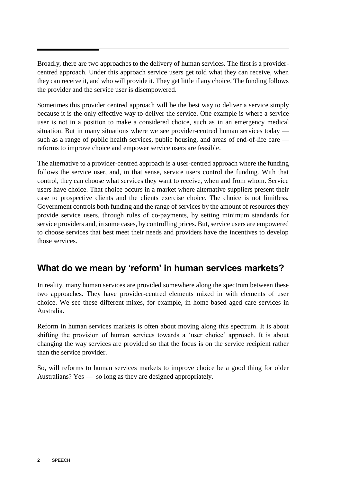Broadly, there are two approaches to the delivery of human services. The first is a providercentred approach. Under this approach service users get told what they can receive, when they can receive it, and who will provide it. They get little if any choice. The funding follows the provider and the service user is disempowered.

Sometimes this provider centred approach will be the best way to deliver a service simply because it is the only effective way to deliver the service. One example is where a service user is not in a position to make a considered choice, such as in an emergency medical situation. But in many situations where we see provider-centred human services today such as a range of public health services, public housing, and areas of end-of-life care reforms to improve choice and empower service users are feasible.

The alternative to a provider-centred approach is a user-centred approach where the funding follows the service user, and, in that sense, service users control the funding. With that control, they can choose what services they want to receive, when and from whom. Service users have choice. That choice occurs in a market where alternative suppliers present their case to prospective clients and the clients exercise choice. The choice is not limitless. Government controls both funding and the range of services by the amount of resources they provide service users, through rules of co-payments, by setting minimum standards for service providers and, in some cases, by controlling prices. But, service users are empowered to choose services that best meet their needs and providers have the incentives to develop those services.

## **What do we mean by 'reform' in human services markets?**

In reality, many human services are provided somewhere along the spectrum between these two approaches. They have provider-centred elements mixed in with elements of user choice. We see these different mixes, for example, in home-based aged care services in Australia.

Reform in human services markets is often about moving along this spectrum. It is about shifting the provision of human services towards a 'user choice' approach. It is about changing the way services are provided so that the focus is on the service recipient rather than the service provider.

So, will reforms to human services markets to improve choice be a good thing for older Australians? Yes — so long as they are designed appropriately.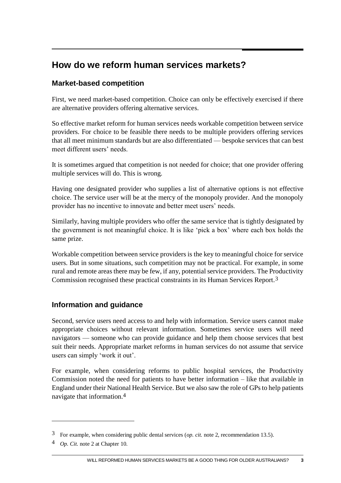## **How do we reform human services markets?**

#### **Market-based competition**

First, we need market-based competition. Choice can only be effectively exercised if there are alternative providers offering alternative services.

So effective market reform for human services needs workable competition between service providers. For choice to be feasible there needs to be multiple providers offering services that all meet minimum standards but are also differentiated — bespoke services that can best meet different users' needs.

It is sometimes argued that competition is not needed for choice; that one provider offering multiple services will do. This is wrong.

Having one designated provider who supplies a list of alternative options is not effective choice. The service user will be at the mercy of the monopoly provider. And the monopoly provider has no incentive to innovate and better meet users' needs.

Similarly, having multiple providers who offer the same service that is tightly designated by the government is not meaningful choice. It is like 'pick a box' where each box holds the same prize.

Workable competition between service providers is the key to meaningful choice for service users. But in some situations, such competition may not be practical. For example, in some rural and remote areas there may be few, if any, potential service providers. The Productivity Commission recognised these practical constraints in its Human Services Report.3

#### **Information and guidance**

Second, service users need access to and help with information. Service users cannot make appropriate choices without relevant information. Sometimes service users will need navigators — someone who can provide guidance and help them choose services that best suit their needs. Appropriate market reforms in human services do not assume that service users can simply 'work it out'.

For example, when considering reforms to public hospital services, the Productivity Commission noted the need for patients to have better information – like that available in England under their National Health Service. But we also saw the role of GPs to help patients navigate that information.4

<sup>3</sup> For example, when considering public dental services (*op. cit.* note 2, recommendation 13.5).

<sup>4</sup> *Op. Cit.* note 2 at Chapter 10.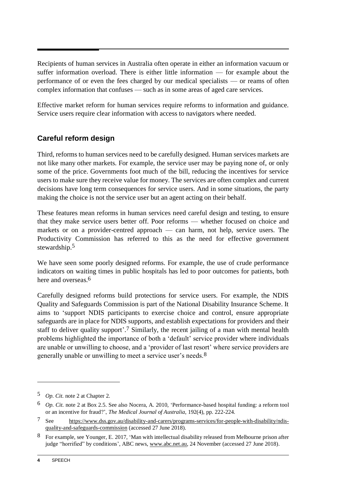Recipients of human services in Australia often operate in either an information vacuum or suffer information overload. There is either little information — for example about the performance of or even the fees charged by our medical specialists — or reams of often complex information that confuses — such as in some areas of aged care services.

Effective market reform for human services require reforms to information and guidance. Service users require clear information with access to navigators where needed.

#### **Careful reform design**

Third, reforms to human services need to be carefully designed. Human services markets are not like many other markets. For example, the service user may be paying none of, or only some of the price. Governments foot much of the bill, reducing the incentives for service users to make sure they receive value for money. The services are often complex and current decisions have long term consequences for service users. And in some situations, the party making the choice is not the service user but an agent acting on their behalf.

These features mean reforms in human services need careful design and testing, to ensure that they make service users better off. Poor reforms — whether focused on choice and markets or on a provider-centred approach — can harm, not help, service users. The Productivity Commission has referred to this as the need for effective government stewardship.5

We have seen some poorly designed reforms. For example, the use of crude performance indicators on waiting times in public hospitals has led to poor outcomes for patients, both here and overseas.<sup>6</sup>

Carefully designed reforms build protections for service users. For example, the NDIS Quality and Safeguards Commission is part of the National Disability Insurance Scheme. It aims to 'support NDIS participants to exercise choice and control, ensure appropriate safeguards are in place for NDIS supports, and establish expectations for providers and their staff to deliver quality support<sup>'.7</sup> Similarly, the recent jailing of a man with mental health problems highlighted the importance of both a 'default' service provider where individuals are unable or unwilling to choose, and a 'provider of last resort' where service providers are generally unable or unwilling to meet a service user's needs.8

-

<sup>5</sup> *Op. Cit.* note 2 at Chapter 2.

<sup>6</sup> *Op. Cit.* note 2 at Box 2.5. See also Nocera, A. 2010, 'Performance-based hospital funding: a reform tool or an incentive for fraud?', *The Medical Journal of Australia*, 192(4), pp. 222-224.

<sup>7</sup> See [https://www.dss.gov.au/disability-and-carers/programs-services/for-people-with-disability/ndis](https://www.dss.gov.au/disability-and-carers/programs-services/for-people-with-disability/ndis-quality-and-safeguards-commission)[quality-and-safeguards-commission](https://www.dss.gov.au/disability-and-carers/programs-services/for-people-with-disability/ndis-quality-and-safeguards-commission) (accessed 27 June 2018).

<sup>8</sup> For example, see Younger, E. 2017, 'Man with intellectual disability released from Melbourne prison after judge "horrified" by conditions', ABC news, [www.abc.net.au,](http://www.abc.net.au/) 24 November (accessed 27 June 2018).